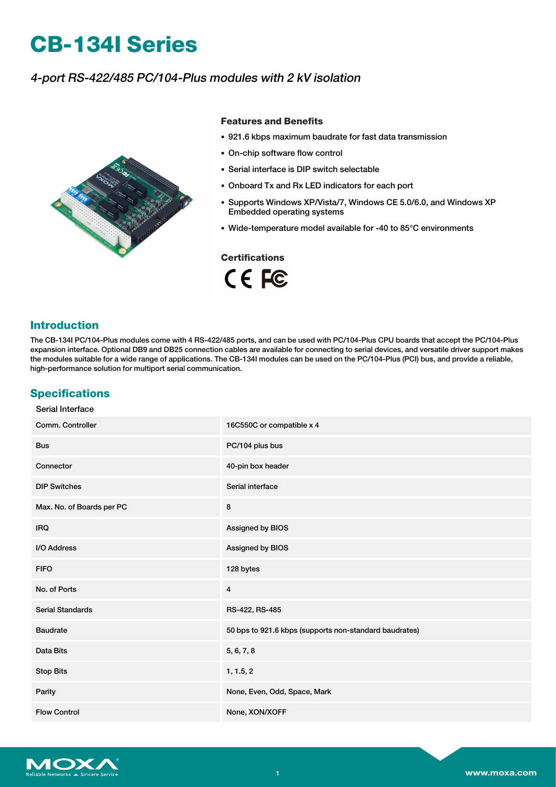# **CB-134I Series**

# 4-port RS-422/485 PC/104-Plus modules with 2 kV isolation



#### **Features and Benefits**

- 921.6 kbps maximum baudrate for fast data transmission
- On-chip software flow control
- Serial interface is DIP switch selectable
- Onboard Tx and Rx LED indicators for each port
- Supports Windows XP/Vista/7, Windows CE 5.0/6.0, and Windows XP Embedded operating systems
- Wide-temperature model available for -40 to 85°C environments

#### **Certifications**

CE FC

### **Introduction**

The CB-134I PC/104-Plus modules come with 4 RS-422/485 ports, and can be used with PC/104-Plus CPU boards that accept the PC/104-Plus expansion interface. Optional DB9 and DB25 connection cables are available for connecting to serial devices, and versatile driver support makes the modules suitable for a wide range of applications. The CB-134I modules can be used on the PC/104-Plus (PCI) bus, and provide a reliable, high-performance solution for multiport serial communication.

## **Specifications**

| Serial Interface          |                                                        |
|---------------------------|--------------------------------------------------------|
| Comm. Controller          | 16C550C or compatible x 4                              |
| <b>Bus</b>                | PC/104 plus bus                                        |
| Connector                 | 40-pin box header                                      |
| <b>DIP Switches</b>       | Serial interface                                       |
| Max. No. of Boards per PC | 8                                                      |
| <b>IRQ</b>                | Assigned by BIOS                                       |
| I/O Address               | Assigned by BIOS                                       |
| <b>FIFO</b>               | 128 bytes                                              |
| No. of Ports              | $\overline{4}$                                         |
| <b>Serial Standards</b>   | RS-422, RS-485                                         |
| <b>Baudrate</b>           | 50 bps to 921.6 kbps (supports non-standard baudrates) |
| Data Bits                 | 5, 6, 7, 8                                             |
| <b>Stop Bits</b>          | 1, 1.5, 2                                              |
| Parity                    | None, Even, Odd, Space, Mark                           |
| <b>Flow Control</b>       | None, XON/XOFF                                         |

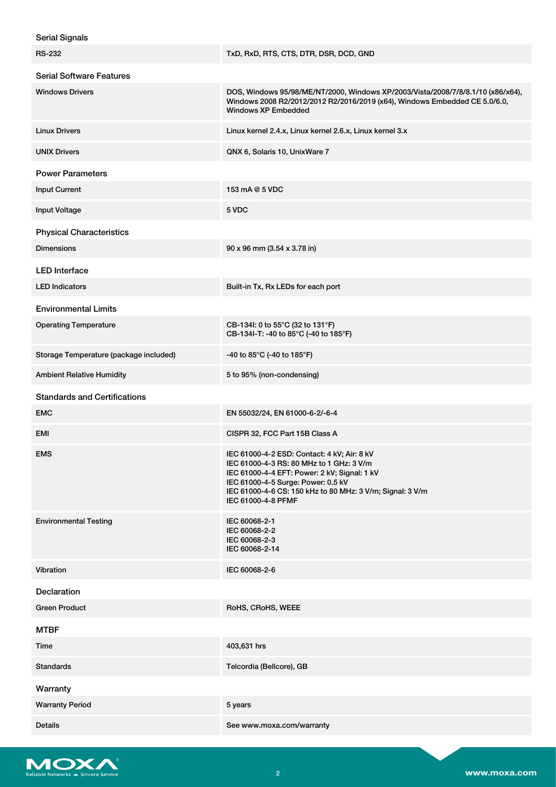| <b>Serial Signals</b>                  |                                                                                                                                                                                                                                                                  |  |  |  |
|----------------------------------------|------------------------------------------------------------------------------------------------------------------------------------------------------------------------------------------------------------------------------------------------------------------|--|--|--|
| <b>RS-232</b>                          | TxD, RxD, RTS, CTS, DTR, DSR, DCD, GND                                                                                                                                                                                                                           |  |  |  |
| <b>Serial Software Features</b>        |                                                                                                                                                                                                                                                                  |  |  |  |
| <b>Windows Drivers</b>                 | DOS, Windows 95/98/ME/NT/2000, Windows XP/2003/Vista/2008/7/8/8.1/10 (x86/x64),<br>Windows 2008 R2/2012/2012 R2/2016/2019 (x64), Windows Embedded CE 5.0/6.0,<br><b>Windows XP Embedded</b>                                                                      |  |  |  |
| <b>Linux Drivers</b>                   | Linux kernel 2.4.x, Linux kernel 2.6.x, Linux kernel 3.x                                                                                                                                                                                                         |  |  |  |
| <b>UNIX Drivers</b>                    | QNX 6, Solaris 10, UnixWare 7                                                                                                                                                                                                                                    |  |  |  |
| <b>Power Parameters</b>                |                                                                                                                                                                                                                                                                  |  |  |  |
| <b>Input Current</b>                   | 153 mA @ 5 VDC                                                                                                                                                                                                                                                   |  |  |  |
| <b>Input Voltage</b>                   | 5 VDC                                                                                                                                                                                                                                                            |  |  |  |
| <b>Physical Characteristics</b>        |                                                                                                                                                                                                                                                                  |  |  |  |
| <b>Dimensions</b>                      | 90 x 96 mm (3.54 x 3.78 in)                                                                                                                                                                                                                                      |  |  |  |
| <b>LED</b> Interface                   |                                                                                                                                                                                                                                                                  |  |  |  |
| <b>LED Indicators</b>                  | Built-in Tx, Rx LEDs for each port                                                                                                                                                                                                                               |  |  |  |
| <b>Environmental Limits</b>            |                                                                                                                                                                                                                                                                  |  |  |  |
| <b>Operating Temperature</b>           | CB-134I: 0 to 55°C (32 to 131°F)<br>CB-134I-T: -40 to 85°C (-40 to 185°F)                                                                                                                                                                                        |  |  |  |
| Storage Temperature (package included) | -40 to 85°C (-40 to 185°F)                                                                                                                                                                                                                                       |  |  |  |
| <b>Ambient Relative Humidity</b>       | 5 to 95% (non-condensing)                                                                                                                                                                                                                                        |  |  |  |
| <b>Standards and Certifications</b>    |                                                                                                                                                                                                                                                                  |  |  |  |
| <b>EMC</b>                             | EN 55032/24, EN 61000-6-2/-6-4                                                                                                                                                                                                                                   |  |  |  |
| EMI                                    | CISPR 32, FCC Part 15B Class A                                                                                                                                                                                                                                   |  |  |  |
| <b>EMS</b>                             | IEC 61000-4-2 ESD: Contact: 4 kV; Air: 8 kV<br>IEC 61000-4-3 RS: 80 MHz to 1 GHz: 3 V/m<br>IEC 61000-4-4 EFT: Power: 2 kV; Signal: 1 kV<br>IEC 61000-4-5 Surge: Power: 0.5 kV<br>IEC 61000-4-6 CS: 150 kHz to 80 MHz: 3 V/m; Signal: 3 V/m<br>IEC 61000-4-8 PFMF |  |  |  |
| <b>Environmental Testing</b>           | IEC 60068-2-1<br>IEC 60068-2-2<br>IEC 60068-2-3<br>IEC 60068-2-14                                                                                                                                                                                                |  |  |  |
| Vibration                              | IEC 60068-2-6                                                                                                                                                                                                                                                    |  |  |  |
| <b>Declaration</b>                     |                                                                                                                                                                                                                                                                  |  |  |  |
| <b>Green Product</b>                   | RoHS, CRoHS, WEEE                                                                                                                                                                                                                                                |  |  |  |
| <b>MTBF</b>                            |                                                                                                                                                                                                                                                                  |  |  |  |
| Time                                   | 403,631 hrs                                                                                                                                                                                                                                                      |  |  |  |
| <b>Standards</b>                       | Telcordia (Bellcore), GB                                                                                                                                                                                                                                         |  |  |  |
| Warranty                               |                                                                                                                                                                                                                                                                  |  |  |  |
| <b>Warranty Period</b>                 | 5 years                                                                                                                                                                                                                                                          |  |  |  |
| <b>Details</b>                         | See www.moxa.com/warranty                                                                                                                                                                                                                                        |  |  |  |